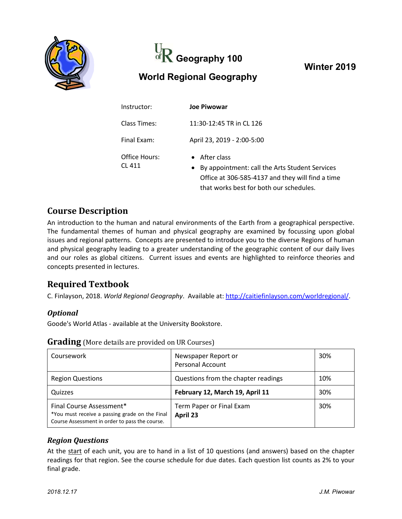



**Winter 2019**

# **World Regional Geography**

| Instructor:             | <b>Joe Piwowar</b>                                                                                                                                                       |  |
|-------------------------|--------------------------------------------------------------------------------------------------------------------------------------------------------------------------|--|
| Class Times:            | 11:30-12:45 TR in CL 126                                                                                                                                                 |  |
| Final Exam:             | April 23, 2019 - 2:00-5:00                                                                                                                                               |  |
| Office Hours:<br>CL 411 | $\bullet$ After class<br>• By appointment: call the Arts Student Services<br>Office at 306-585-4137 and they will find a time<br>that works best for both our schedules. |  |

### **Course Description**

An introduction to the human and natural environments of the Earth from a geographical perspective. The fundamental themes of human and physical geography are examined by focussing upon global issues and regional patterns. Concepts are presented to introduce you to the diverse Regions of human and physical geography leading to a greater understanding of the geographic content of our daily lives and our roles as global citizens. Current issues and events are highlighted to reinforce theories and concepts presented in lectures.

## **Required Textbook**

C. Finlayson, 2018. *World Regional Geography*. Available at: [http://caitiefinlayson.com/worldregional/.](http://caitiefinlayson.com/worldregional/)

#### *Optional*

Goode's World Atlas - available at the University Bookstore.

| Coursework                                                                                                                   | Newspaper Report or<br><b>Personal Account</b> | 30% |
|------------------------------------------------------------------------------------------------------------------------------|------------------------------------------------|-----|
| <b>Region Questions</b>                                                                                                      | Questions from the chapter readings            | 10% |
| Quizzes                                                                                                                      | February 12, March 19, April 11                | 30% |
| Final Course Assessment*<br>*You must receive a passing grade on the Final<br>Course Assessment in order to pass the course. | Term Paper or Final Exam<br>April 23           | 30% |

#### **Grading** (More details are provided on UR Courses)

#### *Region Questions*

At the start of each unit, you are to hand in a list of 10 questions (and answers) based on the chapter readings for that region. See the course schedule for due dates. Each question list counts as 2% to your final grade.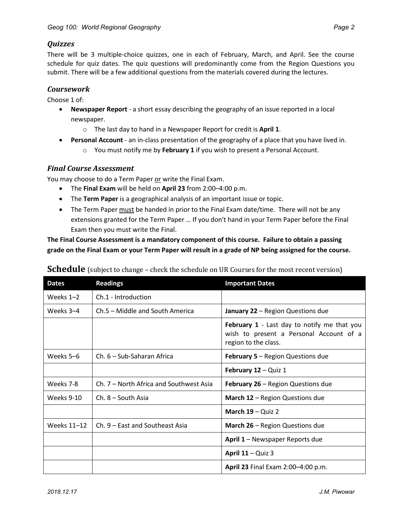#### *Quizzes*

There will be 3 multiple-choice quizzes, one in each of February, March, and April. See the course schedule for quiz dates. The quiz questions will predominantly come from the Region Questions you submit. There will be a few additional questions from the materials covered during the lectures.

#### *Coursework*

Choose 1 of:

- **Newspaper Report** a short essay describing the geography of an issue reported in a local newspaper.
	- o The last day to hand in a Newspaper Report for credit is **April 1**.
- **Personal Account** an in-class presentation of the geography of a place that you have lived in.
	- o You must notify me by **February 1** if you wish to present a Personal Account.

#### *Final Course Assessment*

You may choose to do a Term Paper or write the Final Exam.

- The **Final Exam** will be held on **April 23** from 2:00–4:00 p.m.
- The **Term Paper** is a geographical analysis of an important issue or topic.
- The Term Paper must be handed in prior to the Final Exam date/time. There will not be any extensions granted for the Term Paper … If you don't hand in your Term Paper before the Final Exam then you must write the Final.

**The Final Course Assessment is a mandatory component of this course. Failure to obtain a passing** grade on the Final Exam or your Term Paper will result in a grade of NP being assigned for the course.

| <b>Dates</b> | <b>Readings</b>                         | <b>Important Dates</b>                                                                                                |
|--------------|-----------------------------------------|-----------------------------------------------------------------------------------------------------------------------|
| Weeks $1-2$  | Ch.1 - Introduction                     |                                                                                                                       |
| Weeks 3–4    | Ch.5 – Middle and South America         | January 22 - Region Questions due                                                                                     |
|              |                                         | <b>February 1</b> - Last day to notify me that you<br>wish to present a Personal Account of a<br>region to the class. |
| Weeks 5-6    | Ch. 6 - Sub-Saharan Africa              | <b>February 5 - Region Questions due</b>                                                                              |
|              |                                         | February 12 - Quiz 1                                                                                                  |
| Weeks 7-8    | Ch. 7 – North Africa and Southwest Asia | February 26 - Region Questions due                                                                                    |
| Weeks 9-10   | Ch. 8 – South Asia                      | March 12 - Region Questions due                                                                                       |
|              |                                         | March 19 - Quiz 2                                                                                                     |
| Weeks 11-12  | Ch. 9 – East and Southeast Asia         | March 26 - Region Questions due                                                                                       |
|              |                                         | April 1 – Newspaper Reports due                                                                                       |
|              |                                         | April $11 -$ Quiz 3                                                                                                   |
|              |                                         | April 23 Final Exam 2:00-4:00 p.m.                                                                                    |

#### **Schedule** (subject to change – check the schedule on UR Courses for the most recent version)